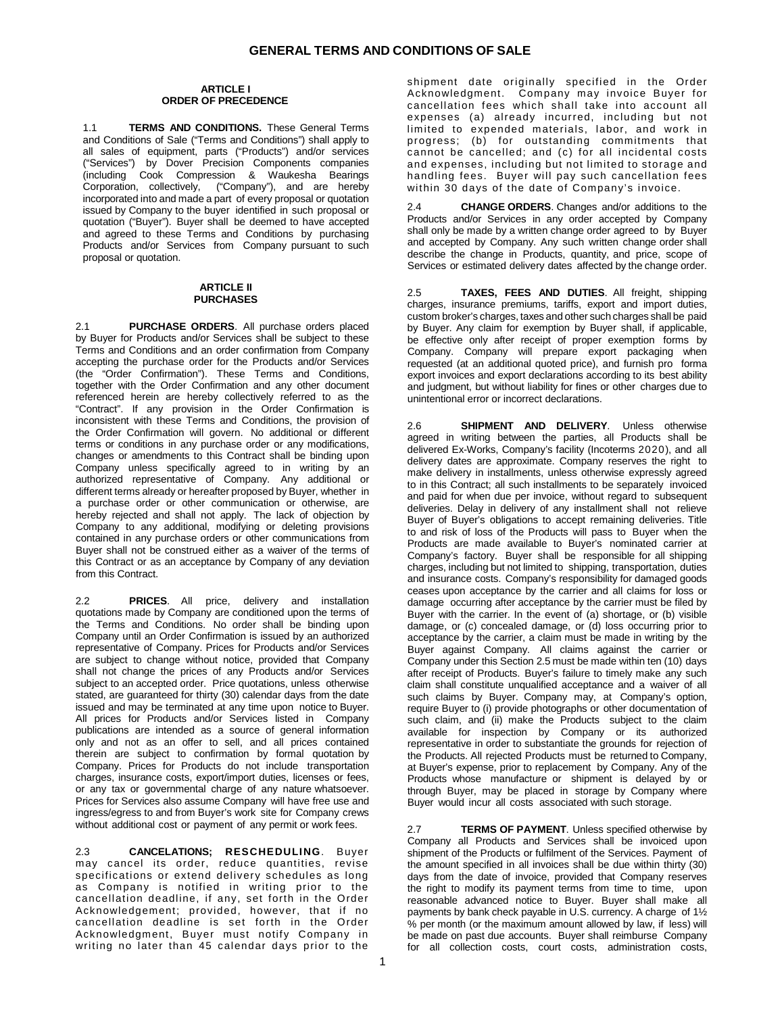# **ARTICLE I ORDER OF PRECEDENCE**

1.1 **TERMS AND CONDITIONS.** These General Terms and Conditions of Sale ("Terms and Conditions") shall apply to all sales of equipment, parts ("Products") and/or services ("Services") by Dover Precision Components companies (including Cook Compression & Waukesha Bearings Corporation, collectively, ("Company"), and are hereby incorporated into and made a part of every proposal or quotation issued by Company to the buyer identified in such proposal or quotation ("Buyer"). Buyer shall be deemed to have accepted and agreed to these Terms and Conditions by purchasing Products and/or Services from Company pursuant to such proposal or quotation.

#### **ARTICLE II PURCHASES**

2.1 **PURCHASE ORDERS**. All purchase orders placed by Buyer for Products and/or Services shall be subject to these Terms and Conditions and an order confirmation from Company accepting the purchase order for the Products and/or Services (the "Order Confirmation"). These Terms and Conditions, together with the Order Confirmation and any other document referenced herein are hereby collectively referred to as the "Contract". If any provision in the Order Confirmation is inconsistent with these Terms and Conditions, the provision of the Order Confirmation will govern. No additional or different terms or conditions in any purchase order or any modifications, changes or amendments to this Contract shall be binding upon Company unless specifically agreed to in writing by an authorized representative of Company. Any additional or different terms already or hereafter proposed by Buyer, whether in a purchase order or other communication or otherwise, are hereby rejected and shall not apply. The lack of objection by Company to any additional, modifying or deleting provisions contained in any purchase orders or other communications from Buyer shall not be construed either as a waiver of the terms of this Contract or as an acceptance by Company of any deviation from this Contract.

2.2 **PRICES**. All price, delivery and installation quotations made by Company are conditioned upon the terms of the Terms and Conditions. No order shall be binding upon Company until an Order Confirmation is issued by an authorized representative of Company. Prices for Products and/or Services are subject to change without notice, provided that Company shall not change the prices of any Products and/or Services subject to an accepted order. Price quotations, unless otherwise stated, are guaranteed for thirty (30) calendar days from the date issued and may be terminated at any time upon notice to Buyer. All prices for Products and/or Services listed in Company publications are intended as a source of general information only and not as an offer to sell, and all prices contained therein are subject to confirmation by formal quotation by Company. Prices for Products do not include transportation charges, insurance costs, export/import duties, licenses or fees, or any tax or governmental charge of any nature whatsoever. Prices for Services also assume Company will have free use and ingress/egress to and from Buyer's work site for Company crews without additional cost or payment of any permit or work fees.

2.3 **CANCELATIONS; RESCHEDULING**. Buyer may cancel its order, reduce quantities, revise specifications or extend delivery schedules as long as Company is notified in writing prior to the cancellation deadline, if any, set forth in the Order Acknowledgement; provided, however, that if no cancellation deadline is set forth in the Order Acknowledgment, Buyer must notify Company in writing no later than 45 calendar days prior to the

shipment date originally specified in the Order Acknowledgment. Company may invoice Buyer for cancellation fees which shall take into account all expenses (a) already incurred, including but not limited to expended materials, labor, and work in progress; (b) for outstanding commitments that cannot be cancelled; and (c) for all incidental costs and expenses, including but not limited to storage and handling fees. Buyer will pay such cancellation fees within 30 days of the date of Company's invoice.

2.4 **CHANGE ORDERS**. Changes and/or additions to the Products and/or Services in any order accepted by Company shall only be made by a written change order agreed to by Buyer and accepted by Company. Any such written change order shall describe the change in Products, quantity, and price, scope of Services or estimated delivery dates affected by the change order.

2.5 **TAXES, FEES AND DUTIES**. All freight, shipping charges, insurance premiums, tariffs, export and import duties, custom broker's charges, taxes and other such charges shall be paid by Buyer. Any claim for exemption by Buyer shall, if applicable, be effective only after receipt of proper exemption forms by Company. Company will prepare export packaging when requested (at an additional quoted price), and furnish pro forma export invoices and export declarations according to its best ability and judgment, but without liability for fines or other charges due to unintentional error or incorrect declarations.

2.6 **SHIPMENT AND DELIVERY**. Unless otherwise agreed in writing between the parties, all Products shall be delivered Ex-Works, Company's facility (Incoterms 2020), and all delivery dates are approximate. Company reserves the right to make delivery in installments, unless otherwise expressly agreed to in this Contract; all such installments to be separately invoiced and paid for when due per invoice, without regard to subsequent deliveries. Delay in delivery of any installment shall not relieve Buyer of Buyer's obligations to accept remaining deliveries. Title to and risk of loss of the Products will pass to Buyer when the Products are made available to Buyer's nominated carrier at Company's factory. Buyer shall be responsible for all shipping charges, including but not limited to shipping, transportation, duties and insurance costs. Company's responsibility for damaged goods ceases upon acceptance by the carrier and all claims for loss or damage occurring after acceptance by the carrier must be filed by Buyer with the carrier. In the event of (a) shortage, or (b) visible damage, or (c) concealed damage, or (d) loss occurring prior to acceptance by the carrier, a claim must be made in writing by the Buyer against Company. All claims against the carrier or Company under this Section 2.5 must be made within ten (10) days after receipt of Products. Buyer's failure to timely make any such claim shall constitute unqualified acceptance and a waiver of all such claims by Buyer. Company may, at Company's option, require Buyer to (i) provide photographs or other documentation of such claim, and (ii) make the Products subject to the claim available for inspection by Company or its authorized representative in order to substantiate the grounds for rejection of the Products. All rejected Products must be returned to Company, at Buyer's expense, prior to replacement by Company. Any of the Products whose manufacture or shipment is delayed by or through Buyer, may be placed in storage by Company where Buyer would incur all costs associated with such storage.

2.7 **TERMS OF PAYMENT**. Unless specified otherwise by Company all Products and Services shall be invoiced upon shipment of the Products or fulfilment of the Services. Payment of the amount specified in all invoices shall be due within thirty (30) days from the date of invoice, provided that Company reserves the right to modify its payment terms from time to time, upon reasonable advanced notice to Buyer. Buyer shall make all payments by bank check payable in U.S. currency. A charge of 1½ % per month (or the maximum amount allowed by law, if less) will be made on past due accounts. Buyer shall reimburse Company for all collection costs, court costs, administration costs,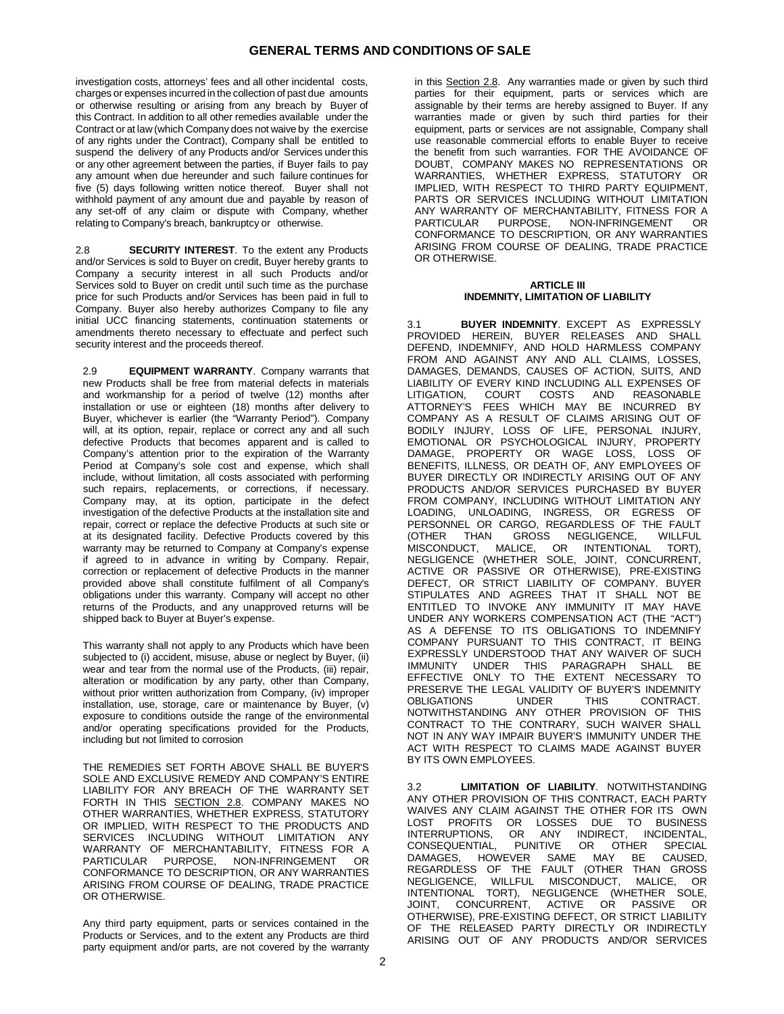investigation costs, attorneys' fees and all other incidental costs, charges or expenses incurred in the collection of past due amounts or otherwise resulting or arising from any breach by Buyer of this Contract. In addition to all other remedies available under the Contract or at law (which Company does not waive by the exercise of any rights under the Contract), Company shall be entitled to suspend the delivery of any Products and/or Services under this or any other agreement between the parties, if Buyer fails to pay any amount when due hereunder and such failure continues for five (5) days following written notice thereof. Buyer shall not withhold payment of any amount due and payable by reason of any set-off of any claim or dispute with Company, whether relating to Company's breach, bankruptcy or otherwise.

2.8 **SECURITY INTEREST**. To the extent any Products and/or Services is sold to Buyer on credit, Buyer hereby grants to Company a security interest in all such Products and/or Services sold to Buyer on credit until such time as the purchase price for such Products and/or Services has been paid in full to Company. Buyer also hereby authorizes Company to file any initial UCC financing statements, continuation statements or amendments thereto necessary to effectuate and perfect such security interest and the proceeds thereof.

2.9 **EQUIPMENT WARRANTY**. Company warrants that new Products shall be free from material defects in materials and workmanship for a period of twelve (12) months after installation or use or eighteen (18) months after delivery to Buyer, whichever is earlier (the "Warranty Period"). Company will, at its option, repair, replace or correct any and all such defective Products that becomes apparent and is called to Company's attention prior to the expiration of the Warranty Period at Company's sole cost and expense, which shall include, without limitation, all costs associated with performing such repairs, replacements, or corrections, if necessary. Company may, at its option, participate in the defect investigation of the defective Products at the installation site and repair, correct or replace the defective Products at such site or at its designated facility. Defective Products covered by this warranty may be returned to Company at Company's expense if agreed to in advance in writing by Company. Repair, correction or replacement of defective Products in the manner provided above shall constitute fulfilment of all Company's obligations under this warranty. Company will accept no other returns of the Products, and any unapproved returns will be shipped back to Buyer at Buyer's expense.

This warranty shall not apply to any Products which have been subjected to (i) accident, misuse, abuse or neglect by Buyer, (ii) wear and tear from the normal use of the Products, (iii) repair, alteration or modification by any party, other than Company, without prior written authorization from Company, (iv) improper installation, use, storage, care or maintenance by Buyer, (v) exposure to conditions outside the range of the environmental and/or operating specifications provided for the Products, including but not limited to corrosion

THE REMEDIES SET FORTH ABOVE SHALL BE BUYER'S SOLE AND EXCLUSIVE REMEDY AND COMPANY'S ENTIRE LIABILITY FOR ANY BREACH OF THE WARRANTY SET FORTH IN THIS SECTION 2.8. COMPANY MAKES NO OTHER WARRANTIES, WHETHER EXPRESS, STATUTORY OR IMPLIED, WITH RESPECT TO THE PRODUCTS AND SERVICES INCLUDING WITHOUT LIMITATION ANY WARRANTY OF MERCHANTABILITY, FITNESS FOR A PARTICULAR PURPOSE, NON-INFRINGEMENT OR CONFORMANCE TO DESCRIPTION, OR ANY WARRANTIES ARISING FROM COURSE OF DEALING, TRADE PRACTICE OR OTHERWISE.

Any third party equipment, parts or services contained in the Products or Services, and to the extent any Products are third party equipment and/or parts, are not covered by the warranty

in this Section 2.8. Any warranties made or given by such third parties for their equipment, parts or services which are assignable by their terms are hereby assigned to Buyer. If any warranties made or given by such third parties for their equipment, parts or services are not assignable, Company shall use reasonable commercial efforts to enable Buyer to receive the benefit from such warranties. FOR THE AVOIDANCE OF DOUBT, COMPANY MAKES NO REPRESENTATIONS OR WARRANTIES, WHETHER EXPRESS, STATUTORY OR IMPLIED, WITH RESPECT TO THIRD PARTY EQUIPMENT, PARTS OR SERVICES INCLUDING WITHOUT LIMITATION ANY WARRANTY OF MERCHANTABILITY, FITNESS FOR A PARTICULAR PURPOSE. NON-INFRINGEMENT OR NON-INFRINGEMENT CONFORMANCE TO DESCRIPTION, OR ANY WARRANTIES ARISING FROM COURSE OF DEALING, TRADE PRACTICE OR OTHERWISE.

#### **ARTICLE III INDEMNITY, LIMITATION OF LIABILITY**

3.1 **BUYER INDEMNITY**. EXCEPT AS EXPRESSLY PROVIDED HEREIN, BUYER RELEASES AND SHALL DEFEND, INDEMNIFY, AND HOLD HARMLESS COMPANY FROM AND AGAINST ANY AND ALL CLAIMS, LOSSES, DAMAGES, DEMANDS, CAUSES OF ACTION, SUITS, AND LIABILITY OF EVERY KIND INCLUDING ALL EXPENSES OF LITIGATION, COURT COSTS AND REASONABLE LITIGATION, COURT COSTS AND REASONABLE ATTORNEY'S FEES WHICH MAY BE INCURRED BY COMPANY AS A RESULT OF CLAIMS ARISING OUT OF BODILY INJURY, LOSS OF LIFE, PERSONAL INJURY, EMOTIONAL OR PSYCHOLOGICAL INJURY, PROPERTY DAMAGE, PROPERTY OR WAGE LOSS, LOSS OF BENEFITS, ILLNESS, OR DEATH OF, ANY EMPLOYEES OF BUYER DIRECTLY OR INDIRECTLY ARISING OUT OF ANY PRODUCTS AND/OR SERVICES PURCHASED BY BUYER FROM COMPANY, INCLUDING WITHOUT LIMITATION ANY LOADING, UNLOADING, INGRESS, OR EGRESS OF PERSONNEL OR CARGO, REGARDLESS OF THE FAULT<br>(OTHER THAN GROSS NEGLIGENCE, WILLFUL (OTHER THAN GROSS NEGLIGENCE, WILLFUL<br>MISCONDUCT, MALICE, OR INTENTIONAL TORT), MISCONDUCT, MALICE, OR INTENTIONAL TORT), NEGLIGENCE (WHETHER SOLE, JOINT, CONCURRENT, ACTIVE OR PASSIVE OR OTHERWISE), PRE-EXISTING DEFECT, OR STRICT LIABILITY OF COMPANY. BUYER STIPULATES AND AGREES THAT IT SHALL NOT BE ENTITLED TO INVOKE ANY IMMUNITY IT MAY HAVE UNDER ANY WORKERS COMPENSATION ACT (THE "ACT") AS A DEFENSE TO ITS OBLIGATIONS TO INDEMNIFY COMPANY PURSUANT TO THIS CONTRACT, IT BEING EXPRESSLY UNDERSTOOD THAT ANY WAIVER OF SUCH IMMUNITY UNDER THIS PARAGRAPH SHALL BE EFFECTIVE ONLY TO THE EXTENT NECESSARY TO PRESERVE THE LEGAL VALIDITY OF BUYER'S INDEMNITY<br>OBLIGATIONS UNDER THIS CONTRACT. CONTRACT. NOTWITHSTANDING ANY OTHER PROVISION OF THIS CONTRACT TO THE CONTRARY, SUCH WAIVER SHALL NOT IN ANY WAY IMPAIR BUYER'S IMMUNITY UNDER THE ACT WITH RESPECT TO CLAIMS MADE AGAINST BUYER BY ITS OWN EMPLOYEES.

3.2 **LIMITATION OF LIABILITY**. NOTWITHSTANDING ANY OTHER PROVISION OF THIS CONTRACT, EACH PARTY WAIVES ANY CLAIM AGAINST THE OTHER FOR ITS OWN LOST PROFITS OR LOSSES DUE TO BUSINESS<br>INTERRUPTIONS. OR ANY INDIRECT. INCIDENTAL. OR ANY INDIRECT, INCIDENTAL,<br>PUNITIVE OR OTHER SPECIAL CONSEQUENTIAL, PUNITIVE OR OTHER SPECIAL<br>DAMAGES, HOWEVER SAME MAY BE CAUSED, **HOWEVER** REGARDLESS OF THE FAULT (OTHER THAN GROSS NEGLIGENCE, WILLFUL MISCONDUCT, MALICE, OR INTENTIONAL TORT), NEGLIGENCE (WHETHER SOLE, JOINT, CONCURRENT, ACTIVE OR PASSIVE OR OTHERWISE), PRE-EXISTING DEFECT, OR STRICT LIABILITY OF THE RELEASED PARTY DIRECTLY OR INDIRECTLY ARISING OUT OF ANY PRODUCTS AND/OR SERVICES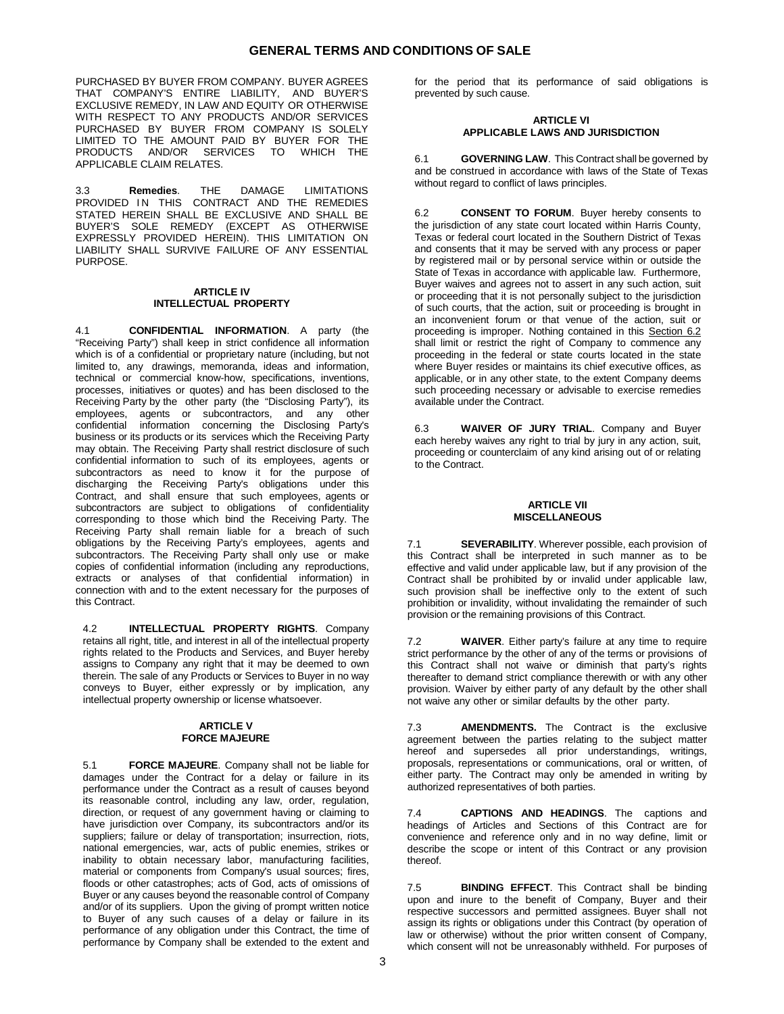PURCHASED BY BUYER FROM COMPANY. BUYER AGREES THAT COMPANY'S ENTIRE LIABILITY, AND BUYER'S EXCLUSIVE REMEDY, IN LAW AND EQUITY OR OTHERWISE WITH RESPECT TO ANY PRODUCTS AND/OR SERVICES PURCHASED BY BUYER FROM COMPANY IS SOLELY LIMITED TO THE AMOUNT PAID BY BUYER FOR THE PRODUCTS AND/OR SERVICES TO WHICH THE APPLICABLE CLAIM RELATES.

3.3 **Remedies**. THE DAMAGE LIMITATIONS PROVIDED IN THIS CONTRACT AND THE REMEDIES STATED HEREIN SHALL BE EXCLUSIVE AND SHALL BE BUYER'S SOLE REMEDY (EXCEPT AS OTHERWISE EXPRESSLY PROVIDED HEREIN). THIS LIMITATION ON LIABILITY SHALL SURVIVE FAILURE OF ANY ESSENTIAL PURPOSE.

## **ARTICLE IV INTELLECTUAL PROPERTY**

4.1 **CONFIDENTIAL INFORMATION**. A party (the "Receiving Party") shall keep in strict confidence all information which is of a confidential or proprietary nature (including, but not limited to, any drawings, memoranda, ideas and information, technical or commercial know-how, specifications, inventions, processes, initiatives or quotes) and has been disclosed to the Receiving Party by the other party (the "Disclosing Party"), its employees, agents or subcontractors, and any other confidential information concerning the Disclosing Party's business or its products or its services which the Receiving Party may obtain. The Receiving Party shall restrict disclosure of such confidential information to such of its employees, agents or subcontractors as need to know it for the purpose of discharging the Receiving Party's obligations under this Contract, and shall ensure that such employees, agents or subcontractors are subject to obligations of confidentiality corresponding to those which bind the Receiving Party. The Receiving Party shall remain liable for a breach of such obligations by the Receiving Party's employees, agents and subcontractors. The Receiving Party shall only use or make copies of confidential information (including any reproductions, extracts or analyses of that confidential information) in connection with and to the extent necessary for the purposes of this Contract.

4.2 **INTELLECTUAL PROPERTY RIGHTS**. Company retains all right, title, and interest in all of the intellectual property rights related to the Products and Services, and Buyer hereby assigns to Company any right that it may be deemed to own therein. The sale of any Products or Services to Buyer in no way conveys to Buyer, either expressly or by implication, any intellectual property ownership or license whatsoever.

## **ARTICLE V FORCE MAJEURE**

5.1 **FORCE MAJEURE**. Company shall not be liable for damages under the Contract for a delay or failure in its performance under the Contract as a result of causes beyond its reasonable control, including any law, order, regulation, direction, or request of any government having or claiming to have jurisdiction over Company, its subcontractors and/or its suppliers; failure or delay of transportation; insurrection, riots, national emergencies, war, acts of public enemies, strikes or inability to obtain necessary labor, manufacturing facilities, material or components from Company's usual sources; fires, floods or other catastrophes; acts of God, acts of omissions of Buyer or any causes beyond the reasonable control of Company and/or of its suppliers. Upon the giving of prompt written notice to Buyer of any such causes of a delay or failure in its performance of any obligation under this Contract, the time of performance by Company shall be extended to the extent and

for the period that its performance of said obligations is prevented by such cause.

# **ARTICLE VI APPLICABLE LAWS AND JURISDICTION**

6.1 **GOVERNING LAW**. This Contract shall be governed by and be construed in accordance with laws of the State of Texas without regard to conflict of laws principles.

6.2 **CONSENT TO FORUM**. Buyer hereby consents to the jurisdiction of any state court located within Harris County, Texas or federal court located in the Southern District of Texas and consents that it may be served with any process or paper by registered mail or by personal service within or outside the State of Texas in accordance with applicable law. Furthermore, Buyer waives and agrees not to assert in any such action, suit or proceeding that it is not personally subject to the jurisdiction of such courts, that the action, suit or proceeding is brought in an inconvenient forum or that venue of the action, suit or proceeding is improper. Nothing contained in this Section 6.2 shall limit or restrict the right of Company to commence any proceeding in the federal or state courts located in the state where Buyer resides or maintains its chief executive offices, as applicable, or in any other state, to the extent Company deems such proceeding necessary or advisable to exercise remedies available under the Contract.

6.3 **WAIVER OF JURY TRIAL**. Company and Buyer each hereby waives any right to trial by jury in any action, suit, proceeding or counterclaim of any kind arising out of or relating to the Contract.

# **ARTICLE VII MISCELLANEOUS**

7.1 **SEVERABILITY**. Wherever possible, each provision of this Contract shall be interpreted in such manner as to be effective and valid under applicable law, but if any provision of the Contract shall be prohibited by or invalid under applicable law, such provision shall be ineffective only to the extent of such prohibition or invalidity, without invalidating the remainder of such provision or the remaining provisions of this Contract.

7.2 **WAIVER**. Either party's failure at any time to require strict performance by the other of any of the terms or provisions of this Contract shall not waive or diminish that party's rights thereafter to demand strict compliance therewith or with any other provision. Waiver by either party of any default by the other shall not waive any other or similar defaults by the other party.

7.3 **AMENDMENTS.** The Contract is the exclusive agreement between the parties relating to the subject matter hereof and supersedes all prior understandings, writings, proposals, representations or communications, oral or written, of either party. The Contract may only be amended in writing by authorized representatives of both parties.

7.4 **CAPTIONS AND HEADINGS**. The captions and headings of Articles and Sections of this Contract are for convenience and reference only and in no way define, limit or describe the scope or intent of this Contract or any provision thereof.

7.5 **BINDING EFFECT**. This Contract shall be binding upon and inure to the benefit of Company, Buyer and their respective successors and permitted assignees. Buyer shall not assign its rights or obligations under this Contract (by operation of law or otherwise) without the prior written consent of Company, which consent will not be unreasonably withheld. For purposes of